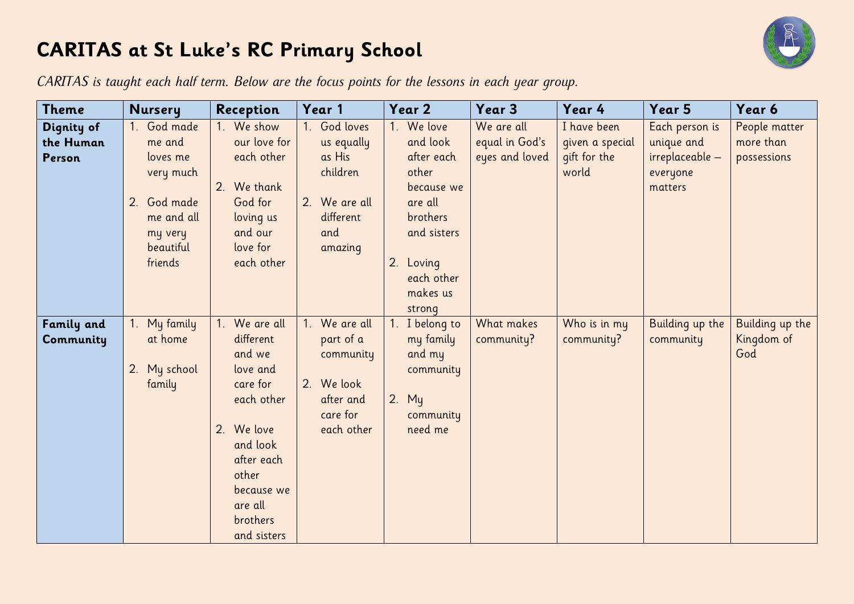## **CARITAS at St Luke's RC Primary School**



*CARITAS is taught each half term. Below are the focus points for the lessons in each year group.*

| <b>Theme</b>                      | <b>Nursery</b>                                                                                                 | Reception                                                                                                                                                                    | Year 1                                                                                           | Year 2                                                                                                                                                     | Year 3                                         | Year 4                                                  | Year 5                                                                 | Year 6                                    |
|-----------------------------------|----------------------------------------------------------------------------------------------------------------|------------------------------------------------------------------------------------------------------------------------------------------------------------------------------|--------------------------------------------------------------------------------------------------|------------------------------------------------------------------------------------------------------------------------------------------------------------|------------------------------------------------|---------------------------------------------------------|------------------------------------------------------------------------|-------------------------------------------|
| Dignity of<br>the Human<br>Person | God made<br>me and<br>loves me<br>very much<br>God made<br>2.<br>me and all<br>my very<br>beautiful<br>friends | We show<br>our love for<br>each other<br>2. We thank<br>God for<br>loving us<br>and our<br>love for<br>each other                                                            | 1. God loves<br>us equally<br>as His<br>children<br>2. We are all<br>different<br>and<br>amazing | We love<br>1 <sup>1</sup><br>and look<br>after each<br>other<br>because we<br>are all<br>brothers<br>and sisters<br>Loving<br>2.<br>each other<br>makes us | We are all<br>equal in God's<br>eyes and loved | I have been<br>given a special<br>gift for the<br>world | Each person is<br>unique and<br>irreplaceable -<br>everyone<br>matters | People matter<br>more than<br>possessions |
| <b>Family and</b><br>Community    | My family<br>at home<br>My school<br>2.<br>family                                                              | We are all<br>different<br>and we<br>love and<br>care for<br>each other<br>2. We love<br>and look<br>after each<br>other<br>because we<br>are all<br>brothers<br>and sisters | 1. We are all<br>part of a<br>community<br>2. We look<br>after and<br>care for<br>each other     | strong<br>1. I belong to<br>my family<br>and my<br>community<br>$2.$ My<br>community<br>need me                                                            | What makes<br>community?                       | Who is in my<br>community?                              | Building up the<br>community                                           | Building up the<br>Kingdom of<br>God      |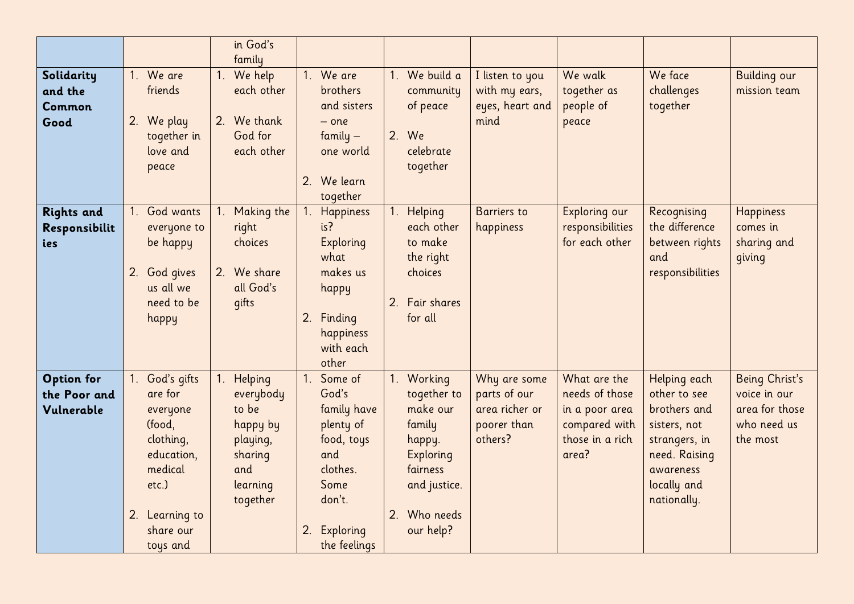|                                                 |                                                                                                                                                       | in God's<br>family                                                                                 |                                                                                                                                             |                                                                                                                                        |                                                                          |                                                                                               |                                                                                                                                           |                                                                             |
|-------------------------------------------------|-------------------------------------------------------------------------------------------------------------------------------------------------------|----------------------------------------------------------------------------------------------------|---------------------------------------------------------------------------------------------------------------------------------------------|----------------------------------------------------------------------------------------------------------------------------------------|--------------------------------------------------------------------------|-----------------------------------------------------------------------------------------------|-------------------------------------------------------------------------------------------------------------------------------------------|-----------------------------------------------------------------------------|
| Solidarity<br>and the<br>Common<br>Good         | 1. We are<br>friends<br>2. We play<br>together in<br>love and<br>peace                                                                                | 1. We help<br>each other<br>2. We thank<br>God for<br>each other                                   | 1. We are<br><b>brothers</b><br>and sisters<br>$-$ one<br>family $-$<br>one world<br>2. We learn<br>together                                | 1. We build a<br>community<br>of peace<br>2. We<br>celebrate<br>together                                                               | I listen to you<br>with my ears,<br>eyes, heart and<br>mind              | We walk<br>together as<br>people of<br>peace                                                  | We face<br>challenges<br>together                                                                                                         | <b>Building our</b><br>mission team                                         |
| <b>Rights and</b><br>Responsibilit<br>ies       | God wants<br>everyone to<br>be happy<br>2. God gives<br>us all we<br>need to be<br>happy                                                              | 1. Making the<br>right<br>choices<br>2. We share<br>all God's<br>qifts                             | <b>Happiness</b><br>$1_{\cdot}$<br>is?<br><b>Exploring</b><br>what<br>makes us<br>happy<br>Finding<br>2.<br>happiness<br>with each<br>other | 1. Helping<br>each other<br>to make<br>the right<br>choices<br>2. Fair shares<br>for all                                               | <b>Barriers</b> to<br>happiness                                          | Exploring our<br>responsibilities<br>for each other                                           | Recognising<br>the difference<br>between rights<br>and<br>responsibilities                                                                | <b>Happiness</b><br>comes in<br>sharing and<br>giving                       |
| <b>Option for</b><br>the Poor and<br>Vulnerable | God's gifts<br>$1_{\cdot}$<br>are for<br>everyone<br>(food,<br>clothing,<br>education,<br>medical<br>etc.)<br>2. Learning to<br>share our<br>toys and | 1. Helping<br>everybody<br>to be<br>happy by<br>playing,<br>sharing<br>and<br>learning<br>together | Some of<br>God's<br>family have<br>plenty of<br>food, toys<br>and<br>clothes.<br>Some<br>don't.<br>2.<br>Exploring<br>the feelings          | 1. Working<br>together to<br>make our<br>family<br>happy.<br><b>Exploring</b><br>fairness<br>and justice.<br>2. Who needs<br>our help? | Why are some<br>parts of our<br>area richer or<br>poorer than<br>others? | What are the<br>needs of those<br>in a poor area<br>compared with<br>those in a rich<br>area? | Helping each<br>other to see<br>brothers and<br>sisters, not<br>strangers, in<br>need. Raising<br>awareness<br>locally and<br>nationally. | Being Christ's<br>voice in our<br>area for those<br>who need us<br>the most |